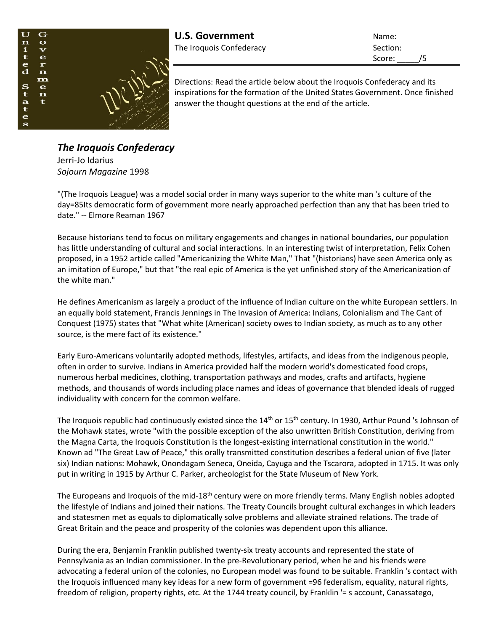

**U.S. Government** Name: The Iroquois Confederacy **Section:** Section:

Score: /5

Directions: Read the article below about the Iroquois Confederacy and its inspirations for the formation of the United States Government. Once finished answer the thought questions at the end of the article.

*The Iroquois Confederacy* Jerri-Jo Idarius *Sojourn Magazine* 1998

"(The Iroquois League) was a model social order in many ways superior to the white man 's culture of the day=85Its democratic form of government more nearly approached perfection than any that has been tried to date." -- Elmore Reaman 1967

Because historians tend to focus on military engagements and changes in national boundaries, our population has little understanding of cultural and social interactions. In an interesting twist of interpretation, Felix Cohen proposed, in a 1952 article called "Americanizing the White Man," That "(historians) have seen America only as an imitation of Europe," but that "the real epic of America is the yet unfinished story of the Americanization of the white man."

He defines Americanism as largely a product of the influence of Indian culture on the white European settlers. In an equally bold statement, Francis Jennings in The Invasion of America: Indians, Colonialism and The Cant of Conquest (1975) states that "What white (American) society owes to Indian society, as much as to any other source, is the mere fact of its existence."

Early Euro-Americans voluntarily adopted methods, lifestyles, artifacts, and ideas from the indigenous people, often in order to survive. Indians in America provided half the modern world's domesticated food crops, numerous herbal medicines, clothing, transportation pathways and modes, crafts and artifacts, hygiene methods, and thousands of words including place names and ideas of governance that blended ideals of rugged individuality with concern for the common welfare.

The Iroquois republic had continuously existed since the 14<sup>th</sup> or 15<sup>th</sup> century. In 1930, Arthur Pound 's Johnson of the Mohawk states, wrote "with the possible exception of the also unwritten British Constitution, deriving from the Magna Carta, the Iroquois Constitution is the longest-existing international constitution in the world." Known ad "The Great Law of Peace," this orally transmitted constitution describes a federal union of five (later six) Indian nations: Mohawk, Onondagam Seneca, Oneida, Cayuga and the Tscarora, adopted in 1715. It was only put in writing in 1915 by Arthur C. Parker, archeologist for the State Museum of New York.

The Europeans and Iroquois of the mid-18<sup>th</sup> century were on more friendly terms. Many English nobles adopted the lifestyle of Indians and joined their nations. The Treaty Councils brought cultural exchanges in which leaders and statesmen met as equals to diplomatically solve problems and alleviate strained relations. The trade of Great Britain and the peace and prosperity of the colonies was dependent upon this alliance.

During the era, Benjamin Franklin published twenty-six treaty accounts and represented the state of Pennsylvania as an Indian commissioner. In the pre-Revolutionary period, when he and his friends were advocating a federal union of the colonies, no European model was found to be suitable. Franklin 's contact with the Iroquois influenced many key ideas for a new form of government =96 federalism, equality, natural rights, freedom of religion, property rights, etc. At the 1744 treaty council, by Franklin '= s account, Canassatego,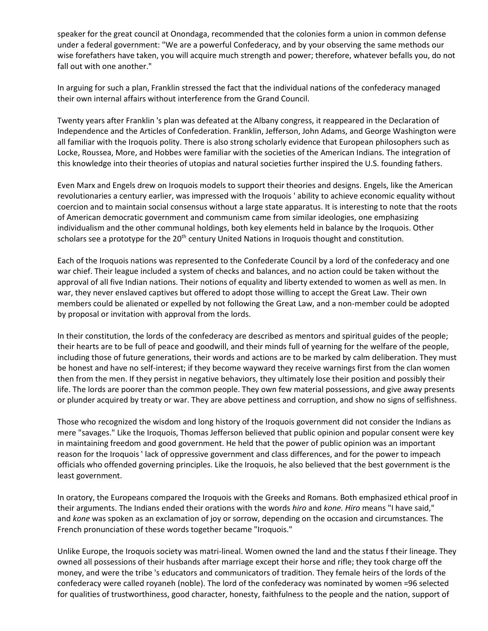speaker for the great council at Onondaga, recommended that the colonies form a union in common defense under a federal government: "We are a powerful Confederacy, and by your observing the same methods our wise forefathers have taken, you will acquire much strength and power; therefore, whatever befalls you, do not fall out with one another."

In arguing for such a plan, Franklin stressed the fact that the individual nations of the confederacy managed their own internal affairs without interference from the Grand Council.

Twenty years after Franklin 's plan was defeated at the Albany congress, it reappeared in the Declaration of Independence and the Articles of Confederation. Franklin, Jefferson, John Adams, and George Washington were all familiar with the Iroquois polity. There is also strong scholarly evidence that European philosophers such as Locke, Roussea, More, and Hobbes were familiar with the societies of the American Indians. The integration of this knowledge into their theories of utopias and natural societies further inspired the U.S. founding fathers.

Even Marx and Engels drew on Iroquois models to support their theories and designs. Engels, like the American revolutionaries a century earlier, was impressed with the Iroquois ' ability to achieve economic equality without coercion and to maintain social consensus without a large state apparatus. It is interesting to note that the roots of American democratic government and communism came from similar ideologies, one emphasizing individualism and the other communal holdings, both key elements held in balance by the Iroquois. Other scholars see a prototype for the 20<sup>th</sup> century United Nations in Iroquois thought and constitution.

Each of the Iroquois nations was represented to the Confederate Council by a lord of the confederacy and one war chief. Their league included a system of checks and balances, and no action could be taken without the approval of all five Indian nations. Their notions of equality and liberty extended to women as well as men. In war, they never enslaved captives but offered to adopt those willing to accept the Great Law. Their own members could be alienated or expelled by not following the Great Law, and a non-member could be adopted by proposal or invitation with approval from the lords.

In their constitution, the lords of the confederacy are described as mentors and spiritual guides of the people; their hearts are to be full of peace and goodwill, and their minds full of yearning for the welfare of the people, including those of future generations, their words and actions are to be marked by calm deliberation. They must be honest and have no self-interest; if they become wayward they receive warnings first from the clan women then from the men. If they persist in negative behaviors, they ultimately lose their position and possibly their life. The lords are poorer than the common people. They own few material possessions, and give away presents or plunder acquired by treaty or war. They are above pettiness and corruption, and show no signs of selfishness.

Those who recognized the wisdom and long history of the Iroquois government did not consider the Indians as mere "savages." Like the Iroquois, Thomas Jefferson believed that public opinion and popular consent were key in maintaining freedom and good government. He held that the power of public opinion was an important reason for the Iroquois ' lack of oppressive government and class differences, and for the power to impeach officials who offended governing principles. Like the Iroquois, he also believed that the best government is the least government.

In oratory, the Europeans compared the Iroquois with the Greeks and Romans. Both emphasized ethical proof in their arguments. The Indians ended their orations with the words *hiro* and *kone. Hiro* means "I have said," and *kone* was spoken as an exclamation of joy or sorrow, depending on the occasion and circumstances. The French pronunciation of these words together became "Iroquois."

Unlike Europe, the Iroquois society was matri-lineal. Women owned the land and the status f their lineage. They owned all possessions of their husbands after marriage except their horse and rifle; they took charge off the money, and were the tribe 's educators and communicators of tradition. They female heirs of the lords of the confederacy were called royaneh (noble). The lord of the confederacy was nominated by women =96 selected for qualities of trustworthiness, good character, honesty, faithfulness to the people and the nation, support of